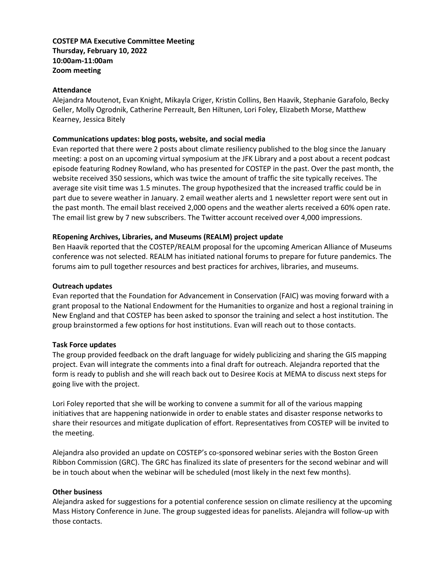# **COSTEP MA Executive Committee Meeting Thursday, February 10, 2022 10:00am-11:00am Zoom meeting**

#### **Attendance**

Alejandra Moutenot, Evan Knight, Mikayla Criger, Kristin Collins, Ben Haavik, Stephanie Garafolo, Becky Geller, Molly Ogrodnik, Catherine Perreault, Ben Hiltunen, Lori Foley, Elizabeth Morse, Matthew Kearney, Jessica Bitely

## **Communications updates: blog posts, website, and social media**

Evan reported that there were 2 posts about climate resiliency published to the blog since the January meeting: a post on an upcoming virtual symposium at the JFK Library and a post about a recent podcast episode featuring Rodney Rowland, who has presented for COSTEP in the past. Over the past month, the website received 350 sessions, which was twice the amount of traffic the site typically receives. The average site visit time was 1.5 minutes. The group hypothesized that the increased traffic could be in part due to severe weather in January. 2 email weather alerts and 1 newsletter report were sent out in the past month. The email blast received 2,000 opens and the weather alerts received a 60% open rate. The email list grew by 7 new subscribers. The Twitter account received over 4,000 impressions.

## **REopening Archives, Libraries, and Museums (REALM) project update**

Ben Haavik reported that the COSTEP/REALM proposal for the upcoming American Alliance of Museums conference was not selected. REALM has initiated national forums to prepare for future pandemics. The forums aim to pull together resources and best practices for archives, libraries, and museums.

#### **Outreach updates**

Evan reported that the Foundation for Advancement in Conservation (FAIC) was moving forward with a grant proposal to the National Endowment for the Humanities to organize and host a regional training in New England and that COSTEP has been asked to sponsor the training and select a host institution. The group brainstormed a few options for host institutions. Evan will reach out to those contacts.

## **Task Force updates**

The group provided feedback on the draft language for widely publicizing and sharing the GIS mapping project. Evan will integrate the comments into a final draft for outreach. Alejandra reported that the form is ready to publish and she will reach back out to Desiree Kocis at MEMA to discuss next steps for going live with the project.

Lori Foley reported that she will be working to convene a summit for all of the various mapping initiatives that are happening nationwide in order to enable states and disaster response networks to share their resources and mitigate duplication of effort. Representatives from COSTEP will be invited to the meeting.

Alejandra also provided an update on COSTEP's co-sponsored webinar series with the Boston Green Ribbon Commission (GRC). The GRC has finalized its slate of presenters for the second webinar and will be in touch about when the webinar will be scheduled (most likely in the next few months).

#### **Other business**

Alejandra asked for suggestions for a potential conference session on climate resiliency at the upcoming Mass History Conference in June. The group suggested ideas for panelists. Alejandra will follow-up with those contacts.